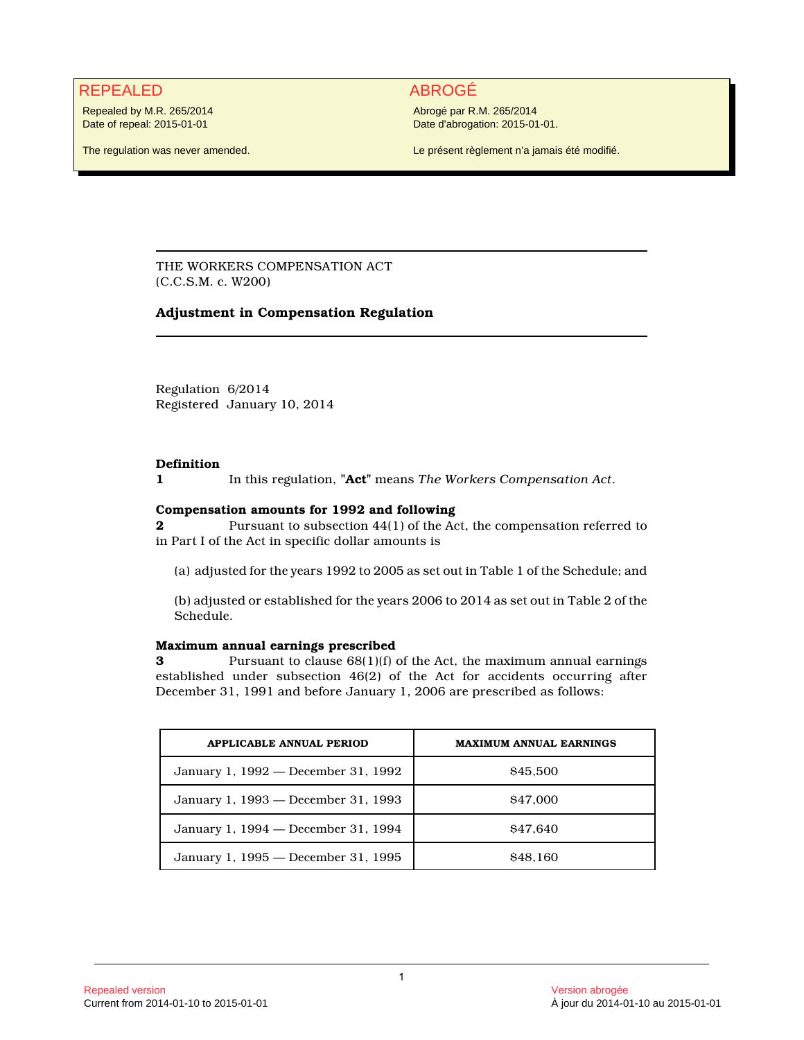# REPEALED ABROGÉ

Repealed by M.R. 265/2014 Date of repeal: 2015-01-01

The regulation was never amended.

Abrogé par R.M. 265/2014 Date d'abrogation: 2015-01-01.

Le présent règlement n'a jamais été modifié.

THE WORKERS COMPENSATION ACT (C.C.S.M. c. W200)

## **Adjustment in Compensation Regulation**

Regulation 6/2014 Registered January 10, 2014

### **Definition**

**1** In this regulation, **"Act"** means *The Workers Compensation Act*.

## **Compensation amounts for 1992 and following**

**2** Pursuant to subsection 44(1) of the Act, the compensation referred to in Part I of the Act in specific dollar amounts is

(a) adjusted for the years 1992 to 2005 as set out in Table 1 of the Schedule; and

(b) adjusted or established for the years 2006 to 2014 as set out in Table 2 of the Schedule.

## **Maximum annual earnings prescribed**

**3** Pursuant to clause  $68(1)(f)$  of the Act, the maximum annual earnings established under subsection 46(2) of the Act for accidents occurring after December 31, 1991 and before January 1, 2006 are prescribed as follows:

| <b>APPLICABLE ANNUAL PERIOD</b>     | <b>MAXIMUM ANNUAL EARNINGS</b> |
|-------------------------------------|--------------------------------|
| January 1, 1992 — December 31, 1992 | \$45,500                       |
| January 1, 1993 — December 31, 1993 | \$47,000                       |
| January 1, 1994 — December 31, 1994 | \$47.640                       |
| January 1, 1995 - December 31, 1995 | <b>S<sub>48.160</sub></b>      |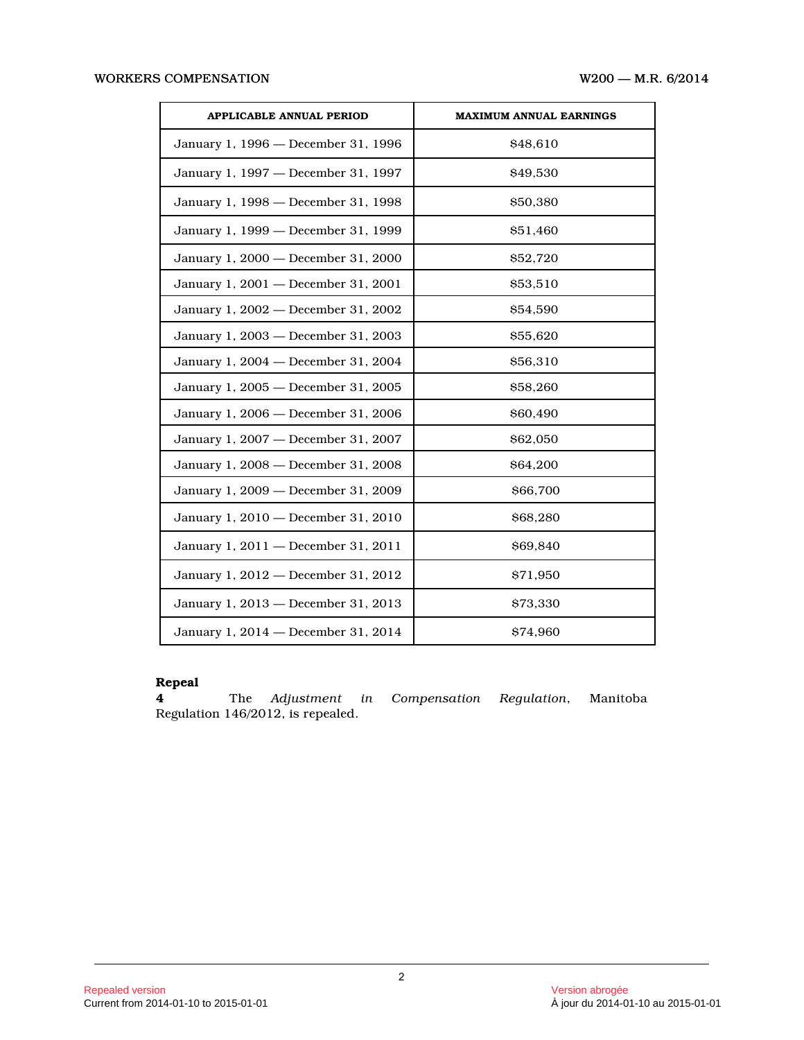| <b>APPLICABLE ANNUAL PERIOD</b>     | <b>MAXIMUM ANNUAL EARNINGS</b> |
|-------------------------------------|--------------------------------|
| January 1, 1996 - December 31, 1996 | \$48,610                       |
| January 1, 1997 - December 31, 1997 | \$49,530                       |
| January 1, 1998 - December 31, 1998 | \$50,380                       |
| January 1, 1999 - December 31, 1999 | \$51,460                       |
| January 1, 2000 - December 31, 2000 | \$52,720                       |
| January 1, 2001 - December 31, 2001 | \$53,510                       |
| January 1, 2002 - December 31, 2002 | \$54,590                       |
| January 1, 2003 - December 31, 2003 | \$55,620                       |
| January 1, 2004 - December 31, 2004 | \$56,310                       |
| January 1, 2005 - December 31, 2005 | \$58,260                       |
| January 1, 2006 - December 31, 2006 | \$60,490                       |
| January 1, 2007 - December 31, 2007 | \$62,050                       |
| January 1, 2008 - December 31, 2008 | \$64,200                       |
| January 1, 2009 - December 31, 2009 | \$66,700                       |
| January 1, 2010 - December 31, 2010 | \$68,280                       |
| January 1, 2011 - December 31, 2011 | \$69,840                       |
| January 1, 2012 - December 31, 2012 | \$71,950                       |
| January 1, 2013 - December 31, 2013 | \$73,330                       |
| January 1, 2014 - December 31, 2014 | \$74.960                       |

# **Repeal**

**4** The *Adjustment in Compensation Regulation*, Manitoba Regulation 146/2012, is repealed.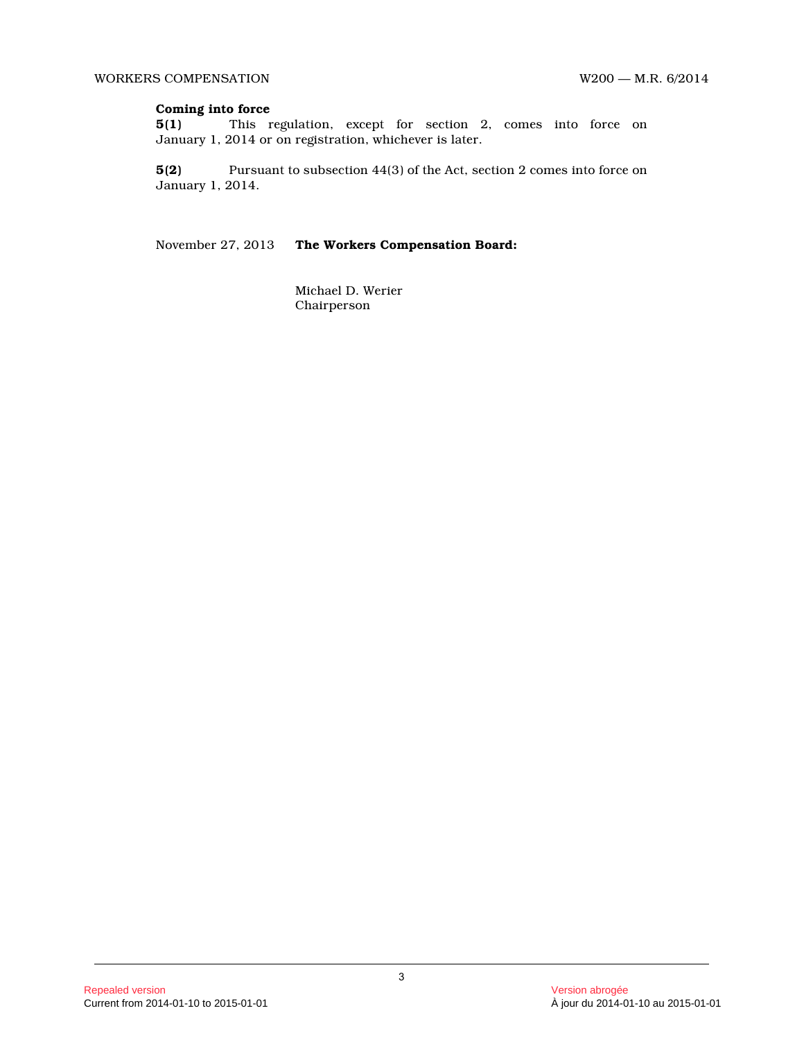## **Coming into force**

**5(1)** This regulation, except for section 2, comes into force on January 1, 2014 or on registration, whichever is later.

**5(2)** Pursuant to subsection 44(3) of the Act, section 2 comes into force on January 1, 2014.

November 27, 2013 **The Workers Compensation Board:**

Michael D. Werier Chairperson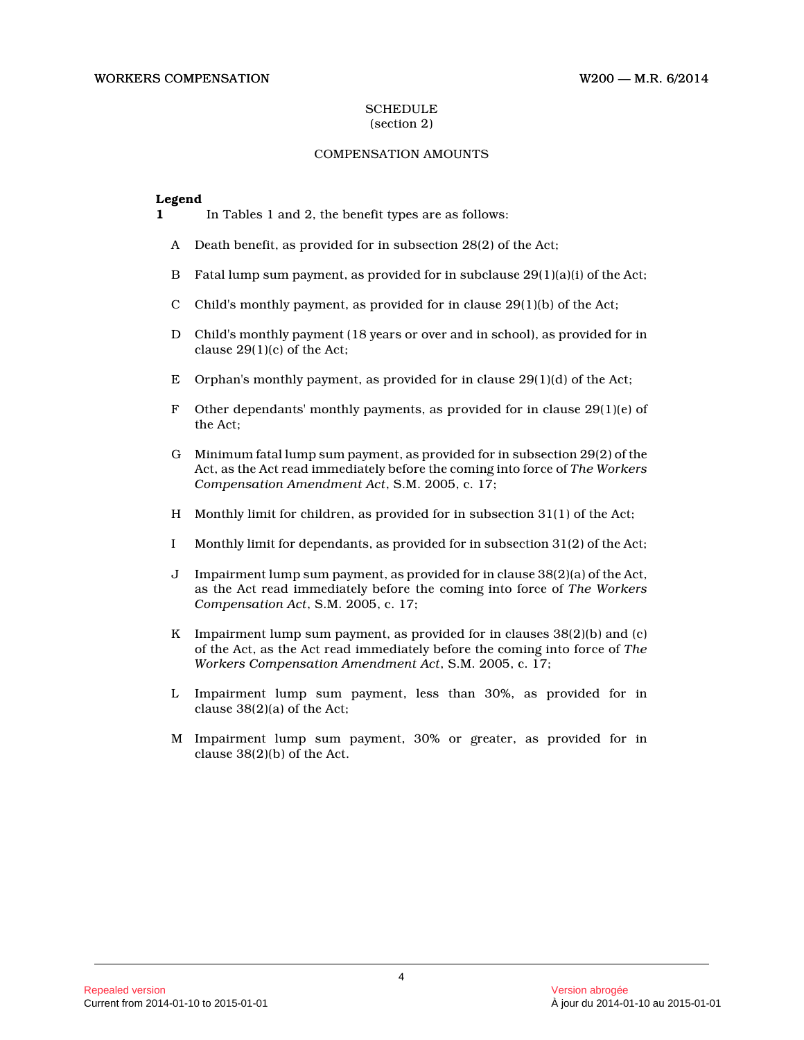#### **SCHEDULE** (section 2)

# COMPENSATION AMOUNTS

### **Legend**

- **1** In Tables 1 and 2, the benefit types are as follows:
	- A Death benefit, as provided for in subsection 28(2) of the Act;
	- B Fatal lump sum payment, as provided for in subclause 29(1)(a)(i) of the Act;
	- C Child's monthly payment, as provided for in clause 29(1)(b) of the Act;
	- D Child's monthly payment (18 years or over and in school), as provided for in clause 29(1)(c) of the Act;
	- E Orphan's monthly payment, as provided for in clause 29(1)(d) of the Act;
	- F Other dependants' monthly payments, as provided for in clause  $29(1)(e)$  of the Act;
	- G Minimum fatal lump sum payment, as provided for in subsection 29(2) of the Act, as the Act read immediately before the coming into force of *The Workers Compensation Amendment Act*, S.M. 2005, c. 17;
	- H Monthly limit for children, as provided for in subsection 31(1) of the Act;
	- I Monthly limit for dependants, as provided for in subsection 31(2) of the Act;
	- J Impairment lump sum payment, as provided for in clause 38(2)(a) of the Act, as the Act read immediately before the coming into force of *The Workers Compensation Act*, S.M. 2005, c. 17;
	- K Impairment lump sum payment, as provided for in clauses  $38(2)(b)$  and (c) of the Act, as the Act read immediately before the coming into force of *The Workers Compensation Amendment Act*, S.M. 2005, c. 17;
	- L Impairment lump sum payment, less than 30%, as provided for in clause 38(2)(a) of the Act;
	- M Impairment lump sum payment, 30% or greater, as provided for in clause 38(2)(b) of the Act.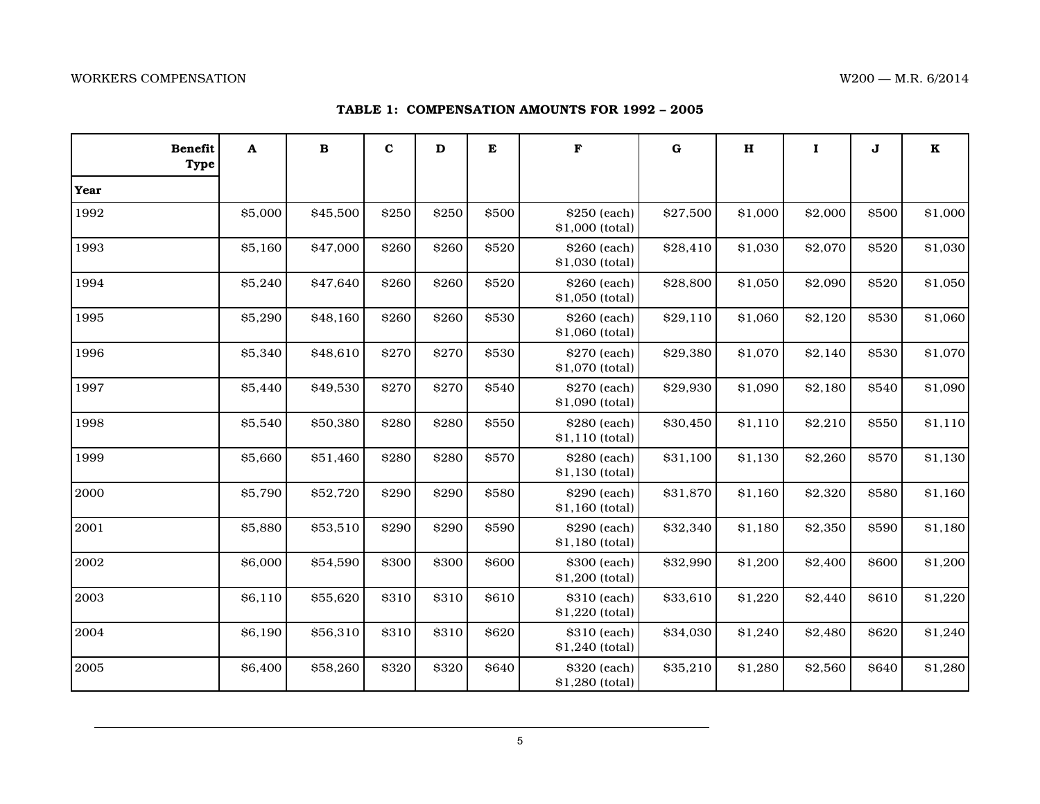## **TABLE 1: COMPENSATION AMOUNTS FOR 1992 – 2005**

| <b>Benefit</b><br><b>Type</b> | A       | $\, {\bf B}$ | $\mathbf{C}$ | D     | E            | $\mathbf F$                     | $\mathbf G$ | $\mathbf H$ | $\mathbf I$ | J     | $\mathbf K$ |
|-------------------------------|---------|--------------|--------------|-------|--------------|---------------------------------|-------------|-------------|-------------|-------|-------------|
| Year                          |         |              |              |       |              |                                 |             |             |             |       |             |
| 1992                          | \$5,000 | \$45,500     | \$250        | \$250 | <b>\$500</b> | \$250 (each)<br>\$1,000 (total) | \$27,500    | \$1,000     | \$2,000     | \$500 | \$1,000     |
| 1993                          | \$5,160 | \$47,000     | \$260        | \$260 | \$520        | \$260 (each)<br>\$1,030 (total) | \$28,410    | \$1,030     | \$2,070     | \$520 | \$1,030     |
| 1994                          | \$5,240 | \$47,640     | \$260        | \$260 | \$520        | \$260 (each)<br>\$1,050 (total) | \$28,800    | \$1,050     | \$2,090     | \$520 | \$1,050     |
| 1995                          | \$5,290 | \$48,160     | \$260        | \$260 | \$530        | \$260 (each)<br>\$1,060 (total) | \$29,110    | \$1,060     | \$2,120     | \$530 | \$1,060     |
| 1996                          | \$5,340 | \$48,610     | \$270        | \$270 | \$530        | \$270 (each)<br>\$1,070 (total) | \$29,380    | \$1,070     | \$2,140     | \$530 | \$1,070     |
| 1997                          | \$5,440 | \$49,530     | \$270        | \$270 | \$540        | \$270 (each)<br>\$1,090 (total) | \$29,930    | \$1,090     | \$2,180     | \$540 | \$1,090     |
| 1998                          | \$5,540 | \$50,380     | \$280        | \$280 | <b>\$550</b> | \$280 (each)<br>\$1,110 (total) | \$30,450    | \$1,110     | \$2,210     | \$550 | \$1,110     |
| 1999                          | \$5,660 | \$51,460     | \$280        | \$280 | \$570        | \$280 (each)<br>\$1,130 (total) | \$31,100    | \$1,130     | \$2,260     | \$570 | \$1,130     |
| 2000                          | \$5,790 | \$52,720     | \$290        | \$290 | \$580        | \$290 (each)<br>\$1,160 (total) | \$31,870    | \$1,160     | \$2,320     | \$580 | \$1,160     |
| 2001                          | \$5,880 | \$53,510     | \$290        | \$290 | \$590        | \$290 (each)<br>\$1,180 (total) | \$32,340    | \$1,180     | \$2,350     | \$590 | \$1,180     |
| 2002                          | \$6,000 | \$54,590     | \$300        | \$300 | \$600        | \$300 (each)<br>\$1,200 (total) | \$32,990    | \$1,200     | \$2,400     | \$600 | \$1,200     |
| 2003                          | \$6,110 | \$55,620     | \$310        | \$310 | \$610        | \$310 (each)<br>\$1,220 (total) | \$33,610    | \$1,220     | \$2,440     | \$610 | \$1,220     |
| 2004                          | \$6,190 | \$56,310     | \$310        | \$310 | \$620        | \$310 (each)<br>\$1,240 (total) | \$34,030    | \$1,240     | \$2,480     | \$620 | \$1,240     |
| 2005                          | \$6,400 | \$58,260     | \$320        | \$320 | \$640        | \$320 (each)<br>\$1,280 (total) | \$35,210    | \$1,280     | \$2,560     | \$640 | \$1,280     |